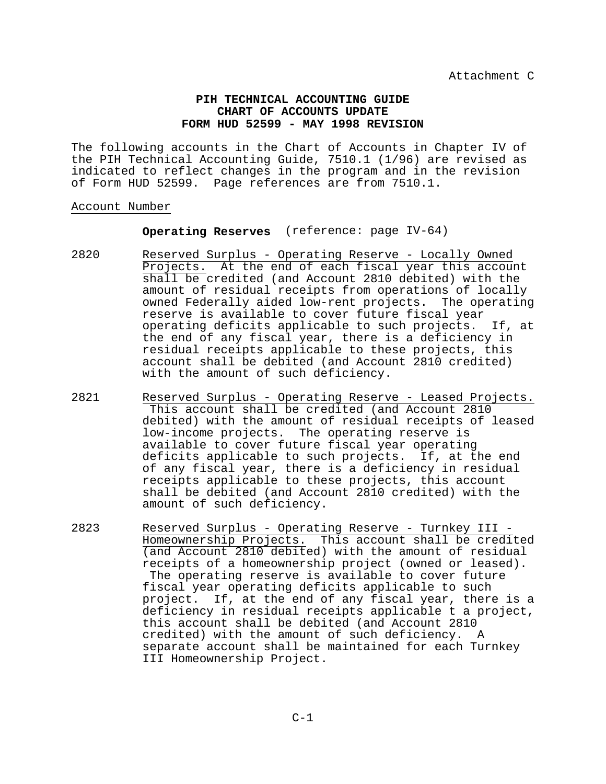## **PIH TECHNICAL ACCOUNTING GUIDE CHART OF ACCOUNTS UPDATE FORM HUD 52599 - MAY 1998 REVISION**

The following accounts in the Chart of Accounts in Chapter IV of the PIH Technical Accounting Guide, 7510.1 (1/96) are revised as indicated to reflect changes in the program and in the revision of Form HUD 52599. Page references are from 7510.1.

# Account Number

#### **Operating Reserves** (reference: page IV-64)

- 2820 Reserved Surplus Operating Reserve Locally Owned Projects. At the end of each fiscal year this account shall be credited (and Account 2810 debited) with the amount of residual receipts from operations of locally owned Federally aided low-rent projects. The operating reserve is available to cover future fiscal year operating deficits applicable to such projects. If, at the end of any fiscal year, there is a deficiency in residual receipts applicable to these projects, this account shall be debited (and Account 2810 credited) with the amount of such deficiency.
- 2821 Reserved Surplus Operating Reserve Leased Projects. This account shall be credited (and Account 2810 debited) with the amount of residual receipts of leased low-income projects. The operating reserve is available to cover future fiscal year operating deficits applicable to such projects. If, at the end of any fiscal year, there is a deficiency in residual receipts applicable to these projects, this account shall be debited (and Account 2810 credited) with the amount of such deficiency.
- 2823 Reserved Surplus Operating Reserve Turnkey III Homeownership Projects. This account shall be credited (and Account 2810 debited) with the amount of residual receipts of a homeownership project (owned or leased). The operating reserve is available to cover future fiscal year operating deficits applicable to such project. If, at the end of any fiscal year, there is a deficiency in residual receipts applicable t a project, this account shall be debited (and Account 2810 credited) with the amount of such deficiency. A separate account shall be maintained for each Turnkey III Homeownership Project.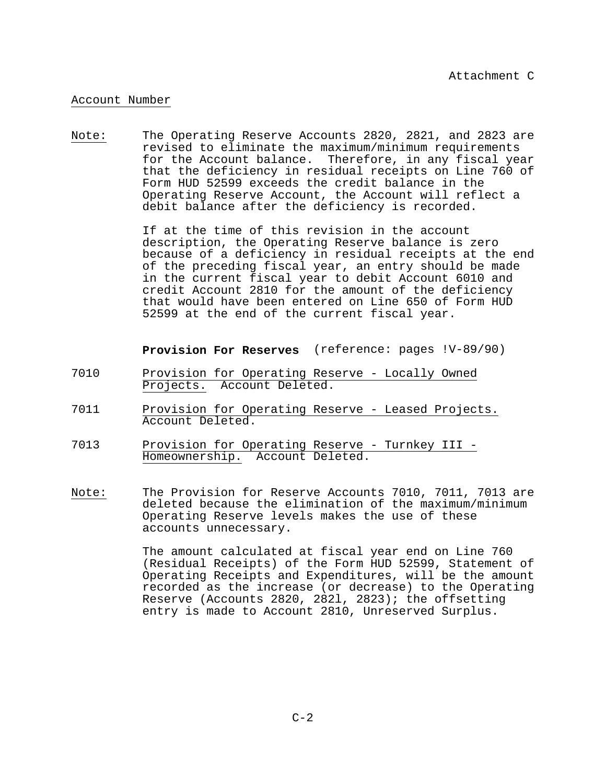## Account Number

Note: The Operating Reserve Accounts 2820, 2821, and 2823 are revised to eliminate the maximum/minimum requirements for the Account balance. Therefore, in any fiscal year that the deficiency in residual receipts on Line 760 of Form HUD 52599 exceeds the credit balance in the Operating Reserve Account, the Account will reflect a debit balance after the deficiency is recorded.

> If at the time of this revision in the account description, the Operating Reserve balance is zero because of a deficiency in residual receipts at the end of the preceding fiscal year, an entry should be made in the current fiscal year to debit Account 6010 and credit Account 2810 for the amount of the deficiency that would have been entered on Line 650 of Form HUD 52599 at the end of the current fiscal year.

**Provision For Reserves** (reference: pages !V-89/90)

- 7010 Provision for Operating Reserve Locally Owned Projects. Account Deleted.
- 7011 Provision for Operating Reserve Leased Projects. Account Deleted.
- 7013 Provision for Operating Reserve Turnkey III Homeownership. Account Deleted.
- Note: The Provision for Reserve Accounts 7010, 7011, 7013 are deleted because the elimination of the maximum/minimum Operating Reserve levels makes the use of these accounts unnecessary.

The amount calculated at fiscal year end on Line 760 (Residual Receipts) of the Form HUD 52599, Statement of Operating Receipts and Expenditures, will be the amount recorded as the increase (or decrease) to the Operating Reserve (Accounts 2820, 282l, 2823); the offsetting entry is made to Account 2810, Unreserved Surplus.